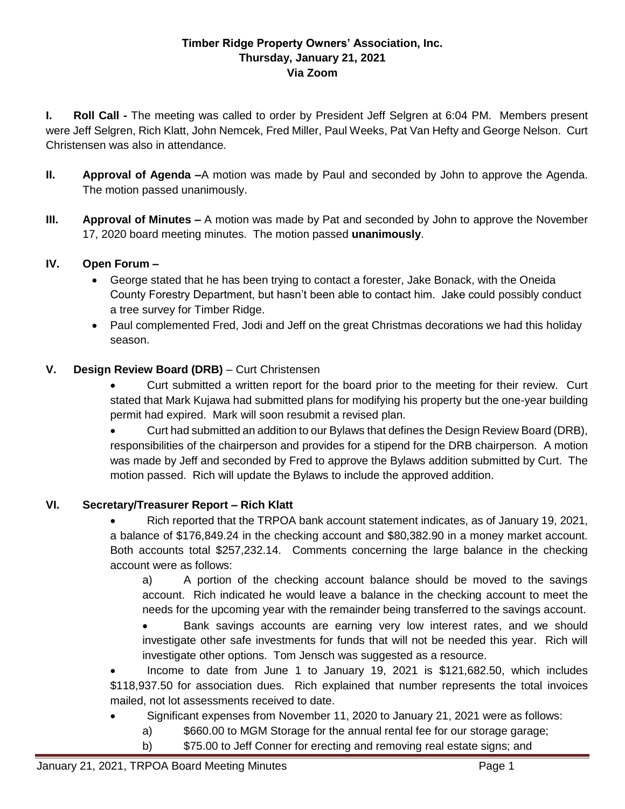#### **Timber Ridge Property Owners' Association, Inc. Thursday, January 21, 2021 Via Zoom**

**I. Roll Call -** The meeting was called to order by President Jeff Selgren at 6:04 PM. Members present were Jeff Selgren, Rich Klatt, John Nemcek, Fred Miller, Paul Weeks, Pat Van Hefty and George Nelson. Curt Christensen was also in attendance.

- **II. Approval of Agenda –**A motion was made by Paul and seconded by John to approve the Agenda. The motion passed unanimously.
- **III. Approval of Minutes –** A motion was made by Pat and seconded by John to approve the November 17, 2020 board meeting minutes. The motion passed **unanimously**.

# **IV. Open Forum –**

- George stated that he has been trying to contact a forester, Jake Bonack, with the Oneida County Forestry Department, but hasn't been able to contact him. Jake could possibly conduct a tree survey for Timber Ridge.
- Paul complemented Fred, Jodi and Jeff on the great Christmas decorations we had this holiday season.

# **V. Design Review Board (DRB)** – Curt Christensen

 Curt submitted a written report for the board prior to the meeting for their review. Curt stated that Mark Kujawa had submitted plans for modifying his property but the one-year building permit had expired. Mark will soon resubmit a revised plan.

 Curt had submitted an addition to our Bylaws that defines the Design Review Board (DRB), responsibilities of the chairperson and provides for a stipend for the DRB chairperson. A motion was made by Jeff and seconded by Fred to approve the Bylaws addition submitted by Curt. The motion passed. Rich will update the Bylaws to include the approved addition.

# **VI. Secretary/Treasurer Report – Rich Klatt**

 Rich reported that the TRPOA bank account statement indicates, as of January 19, 2021, a balance of \$176,849.24 in the checking account and \$80,382.90 in a money market account. Both accounts total \$257,232.14. Comments concerning the large balance in the checking account were as follows:

a) A portion of the checking account balance should be moved to the savings account. Rich indicated he would leave a balance in the checking account to meet the needs for the upcoming year with the remainder being transferred to the savings account.

• Bank savings accounts are earning very low interest rates, and we should investigate other safe investments for funds that will not be needed this year. Rich will investigate other options. Tom Jensch was suggested as a resource.

 Income to date from June 1 to January 19, 2021 is \$121,682.50, which includes \$118,937.50 for association dues. Rich explained that number represents the total invoices mailed, not lot assessments received to date.

- Significant expenses from November 11, 2020 to January 21, 2021 were as follows:
	- a) \$660.00 to MGM Storage for the annual rental fee for our storage garage;
	- b) \$75.00 to Jeff Conner for erecting and removing real estate signs; and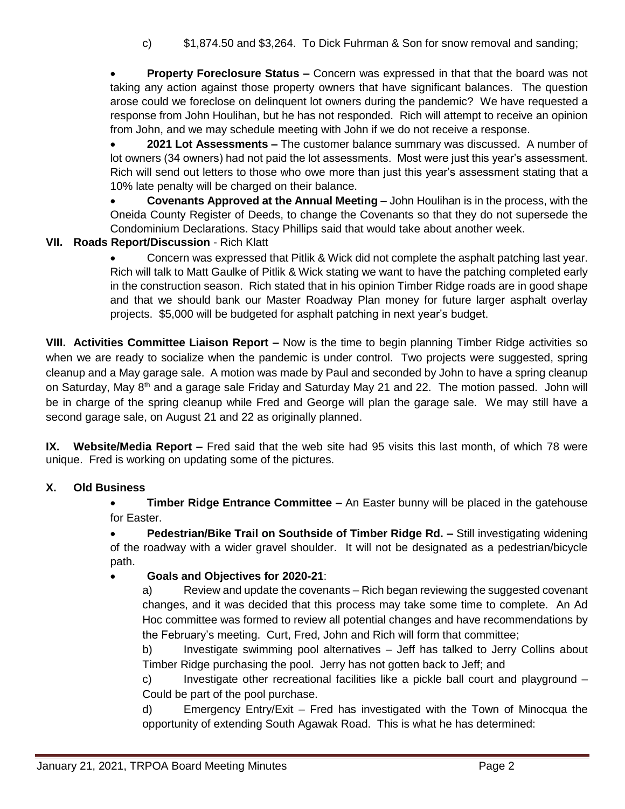c) \$1,874.50 and \$3,264. To Dick Fuhrman & Son for snow removal and sanding;

 **Property Foreclosure Status –** Concern was expressed in that that the board was not taking any action against those property owners that have significant balances. The question arose could we foreclose on delinquent lot owners during the pandemic? We have requested a response from John Houlihan, but he has not responded. Rich will attempt to receive an opinion from John, and we may schedule meeting with John if we do not receive a response.

 **2021 Lot Assessments –** The customer balance summary was discussed. A number of lot owners (34 owners) had not paid the lot assessments. Most were just this year's assessment. Rich will send out letters to those who owe more than just this year's assessment stating that a 10% late penalty will be charged on their balance.

 **Covenants Approved at the Annual Meeting** – John Houlihan is in the process, with the Oneida County Register of Deeds, to change the Covenants so that they do not supersede the Condominium Declarations. Stacy Phillips said that would take about another week.

# **VII. Roads Report/Discussion** - Rich Klatt

 Concern was expressed that Pitlik & Wick did not complete the asphalt patching last year. Rich will talk to Matt Gaulke of Pitlik & Wick stating we want to have the patching completed early in the construction season. Rich stated that in his opinion Timber Ridge roads are in good shape and that we should bank our Master Roadway Plan money for future larger asphalt overlay projects. \$5,000 will be budgeted for asphalt patching in next year's budget.

**VIII. Activities Committee Liaison Report –** Now is the time to begin planning Timber Ridge activities so when we are ready to socialize when the pandemic is under control. Two projects were suggested, spring cleanup and a May garage sale. A motion was made by Paul and seconded by John to have a spring cleanup on Saturday, May 8<sup>th</sup> and a garage sale Friday and Saturday May 21 and 22. The motion passed. John will be in charge of the spring cleanup while Fred and George will plan the garage sale. We may still have a second garage sale, on August 21 and 22 as originally planned.

**IX. Website/Media Report –** Fred said that the web site had 95 visits this last month, of which 78 were unique. Fred is working on updating some of the pictures.

#### **X. Old Business**

**Timber Ridge Entrance Committee** – An Easter bunny will be placed in the gatehouse for Easter.

**• Pedestrian/Bike Trail on Southside of Timber Ridge Rd. – Still investigating widening** of the roadway with a wider gravel shoulder. It will not be designated as a pedestrian/bicycle path.

# **Goals and Objectives for 2020-21**:

a) Review and update the covenants – Rich began reviewing the suggested covenant changes, and it was decided that this process may take some time to complete. An Ad Hoc committee was formed to review all potential changes and have recommendations by the February's meeting. Curt, Fred, John and Rich will form that committee;

b) Investigate swimming pool alternatives – Jeff has talked to Jerry Collins about Timber Ridge purchasing the pool. Jerry has not gotten back to Jeff; and

c) Investigate other recreational facilities like a pickle ball court and playground – Could be part of the pool purchase.

d) Emergency Entry/Exit – Fred has investigated with the Town of Minocqua the opportunity of extending South Agawak Road. This is what he has determined: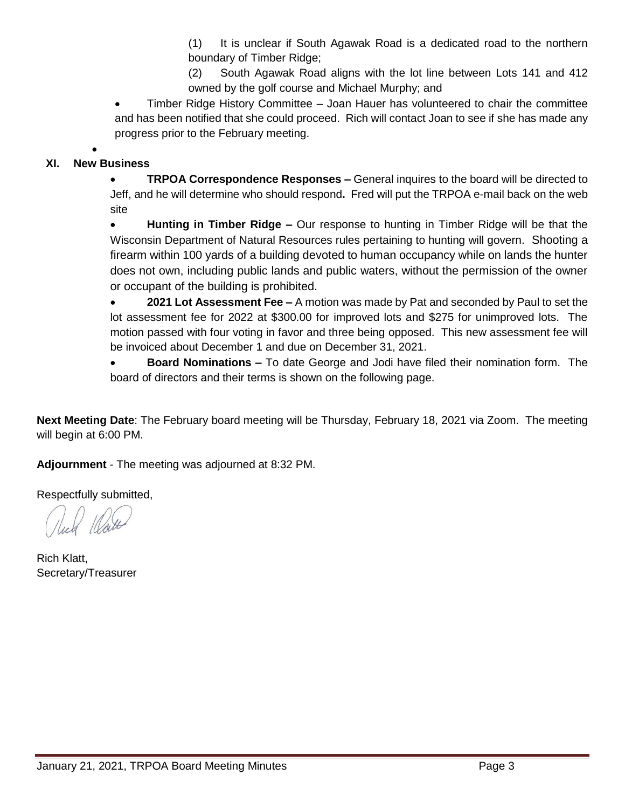(1) It is unclear if South Agawak Road is a dedicated road to the northern boundary of Timber Ridge;

(2) South Agawak Road aligns with the lot line between Lots 141 and 412 owned by the golf course and Michael Murphy; and

 Timber Ridge History Committee – Joan Hauer has volunteered to chair the committee and has been notified that she could proceed. Rich will contact Joan to see if she has made any progress prior to the February meeting.

#### $\bullet$ **XI. New Business**

**TRPOA Correspondence Responses –** General inquires to the board will be directed to Jeff, and he will determine who should respond**.** Fred will put the TRPOA e-mail back on the web site

 **Hunting in Timber Ridge –** Our response to hunting in Timber Ridge will be that the Wisconsin Department of Natural Resources rules pertaining to hunting will govern. Shooting a firearm within 100 yards of a building devoted to human occupancy while on lands the hunter does not own, including public lands and public waters, without the permission of the owner or occupant of the building is prohibited.

 **2021 Lot Assessment Fee –** A motion was made by Pat and seconded by Paul to set the lot assessment fee for 2022 at \$300.00 for improved lots and \$275 for unimproved lots. The motion passed with four voting in favor and three being opposed. This new assessment fee will be invoiced about December 1 and due on December 31, 2021.

 **Board Nominations –** To date George and Jodi have filed their nomination form. The board of directors and their terms is shown on the following page.

**Next Meeting Date**: The February board meeting will be Thursday, February 18, 2021 via Zoom. The meeting will begin at 6:00 PM.

**Adjournment** - The meeting was adjourned at 8:32 PM.

Respectfully submitted,

Rich Klatt, Secretary/Treasurer